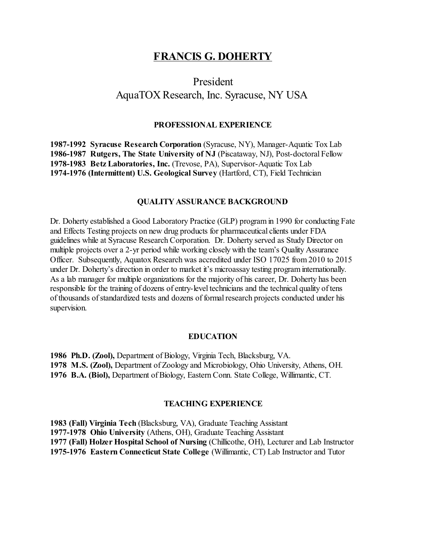# **FRANCIS G. DOHERTY**

# President AquaTOX Research, Inc. Syracuse, NY USA

#### **PROFESSIONAL EXPERIENCE**

**1987-1992 Syracuse Research Corporation** (Syracuse, NY), Manager-Aquatic Tox Lab **1986-1987 Rutgers, The State University of NJ** (Piscataway, NJ), Post-doctoral Fellow **1978-1983 Betz Laboratories, Inc.** (Trevose, PA), Supervisor-Aquatic Tox Lab **1974-1976 (Intermittent) U.S. Geological Survey** (Hartford, CT), Field Technician

#### **QUALITY ASSURANCE BACKGROUND**

Dr. Doherty established a Good Laboratory Practice (GLP) program in 1990 for conducting Fate and Effects Testing projects on new drug products for pharmaceutical clients under FDA guidelines while at Syracuse Research Corporation. Dr. Doherty served as Study Director on multiple projects over a 2-yr period while working closely with the team's Quality Assurance Officer. Subsequently, Aquatox Research was accredited under ISO 17025 from 2010 to 2015 under Dr. Doherty's direction in order to market it's microassay testing program internationally. As a lab manager for multiple organizations for the majority of his career, Dr. Doherty has been responsible for the training of dozens of entry-level technicians and the technical quality of tens of thousands of standardized tests and dozens of formal research projects conducted under his supervision.

## **EDUCATION**

**1986 Ph.D. (Zool),** Department of Biology, Virginia Tech, Blacksburg, VA. **1978 M.S. (Zool),** Department of Zoology and Microbiology, Ohio University, Athens, OH. **1976 B.A. (Biol),** Department of Biology, Eastern Conn. State College, Willimantic, CT.

#### **TEACHING EXPERIENCE**

**1983 (Fall) Virginia Tech** (Blacksburg, VA), Graduate Teaching Assistant **1977-1978 Ohio University** (Athens, OH), Graduate Teaching Assistant **1977 (Fall) Holzer Hospital School of Nursing** (Chillicothe, OH), Lecturer and Lab Instructor **1975-1976 Eastern Connecticut State College** (Willimantic, CT) Lab Instructor and Tutor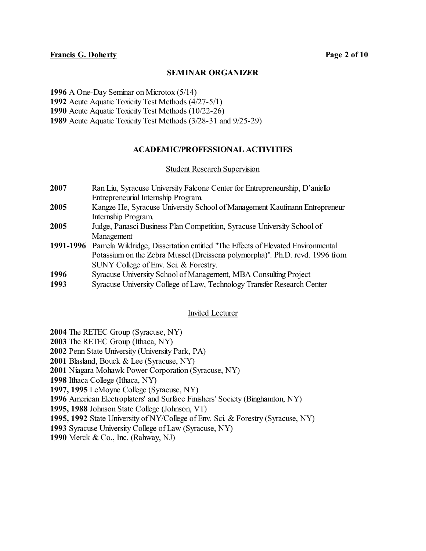## **SEMINAR ORGANIZER**

**1996** A One-Day Seminar on Microtox (5/14)

**1992** Acute Aquatic Toxicity Test Methods (4/27-5/1)

**1990** Acute Aquatic Toxicity Test Methods (10/22-26)

**1989** Acute Aquatic Toxicity Test Methods (3/28-31 and 9/25-29)

# **ACADEMIC/PROFESSIONAL ACTIVITIES**

# Student Research Supervision

- **2007** Ran Liu, Syracuse University Falcone Center for Entrepreneurship, D'aniello Entrepreneurial Internship Program.
- **2005** Kangze He, Syracuse University School of Management Kaufmann Entrepreneur Internship Program.
- **2005** Judge, Panasci Business Plan Competition, Syracuse University School of Management
- **1991-1996** Pamela Wildridge, Dissertation entitled "The Effects of Elevated Environmental Potassium on the Zebra Mussel (Dreissena polymorpha)". Ph.D. rcvd. 1996 from SUNY College of Env. Sci. & Forestry.
- **1996** Syracuse University School of Management, MBA Consulting Project
- **1993** Syracuse University College of Law, Technology Transfer Research Center

# Invited Lecturer

- **2004** The RETEC Group (Syracuse, NY)
- **2003** The RETEC Group (Ithaca, NY)
- **2002** Penn State University (University Park, PA)
- **2001** Blasland, Bouck & Lee (Syracuse, NY)
- **2001** Niagara Mohawk Power Corporation (Syracuse, NY)
- **1998** Ithaca College (Ithaca, NY)
- **1997, 1995** LeMoyne College (Syracuse, NY)
- **1996** American Electroplaters' and Surface Finishers' Society (Binghamton, NY)
- **1995, 1988** Johnson State College (Johnson, VT)
- **1995, 1992** State University of NY/College of Env. Sci. & Forestry (Syracuse, NY)
- **1993** Syracuse University College of Law (Syracuse, NY)
- **1990** Merck & Co., Inc. (Rahway, NJ)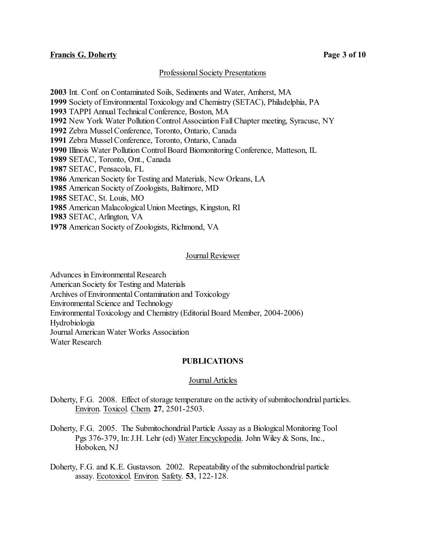# Professional Society Presentations

 Int. Conf. on Contaminated Soils, Sediments and Water, Amherst, MA Society of EnvironmentalToxicology and Chemistry (SETAC), Philadelphia, PA TAPPI Annual Technical Conference, Boston, MA New York Water Pollution Control Association FallChapter meeting, Syracuse, NY Zebra Mussel Conference, Toronto, Ontario, Canada Zebra Mussel Conference, Toronto, Ontario, Canada Illinois Water Pollution Control Board Biomonitoring Conference, Matteson, IL SETAC, Toronto, Ont., Canada SETAC, Pensacola, FL American Society for Testing and Materials, New Orleans, LA American Society of Zoologists, Baltimore, MD SETAC, St. Louis, MO American Malacological Union Meetings, Kingston, RI SETAC, Arlington, VA American Society of Zoologists, Richmond, VA

# Journal Reviewer

Advances in Environmental Research American Society for Testing and Materials Archives of Environmental Contamination and Toxicology Environmental Science and Technology Environmental Toxicology and Chemistry (Editorial Board Member, 2004-2006) Hydrobiologia Journal American Water Works Association Water Research

# **PUBLICATIONS**

# Journal Articles

Doherty, F.G. 2008. Effect of storage temperature on the activity of submitochondrial particles. Environ. Toxicol. Chem. **27**, 2501-2503.

Doherty, F.G. 2005. The Submitochondrial Particle Assay as a Biological Monitoring Tool Pgs 376-379, In: J.H. Lehr (ed) Water Encyclopedia. John Wiley & Sons, Inc., Hoboken, NJ

Doherty, F.G. and K.E. Gustavson. 2002. Repeatability of the submitochondrial particle assay. Ecotoxicol. Environ. Safety. **53**, 122-128.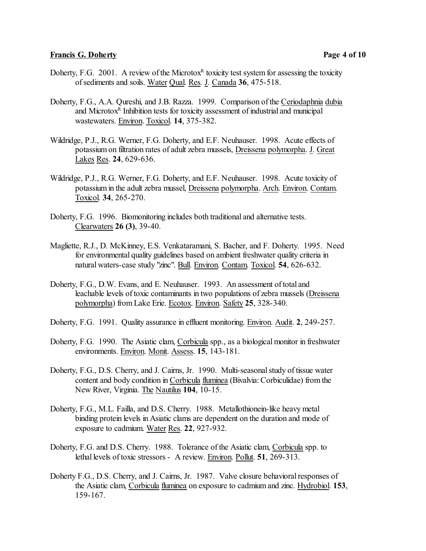# **Francis G. Doherty Page 4 of 10**

- Doherty, F.G. 2001. A review of the Microtox<sup>R</sup> toxicity test system for assessing the toxicity of sediments and soils. Water Qual. Res. J. Canada **36**, 475-518.
- Doherty, F.G., A.A. Qureshi, and J.B. Razza. 1999. Comparison of the Ceriodaphnia dubia and Microtox<sup>R</sup> Inhibition tests for toxicity assessment of industrial and municipal wastewaters. Environ. Toxicol. **14**, 375-382.
- Wildridge, P.J., R.G. Werner, F.G. Doherty, and E.F. Neuhauser. 1998. Acute effects of potassium on filtration rates of adult zebra mussels, Dreissena polymorpha. J. Great Lakes Res. **24**, 629-636.
- Wildridge, P.J., R.G. Werner, F.G. Doherty, and E.F. Neuhauser. 1998. Acute toxicity of potassium in the adult zebra mussel, Dreissena polymorpha. Arch. Environ. Contam. Toxicol. **34**, 265-270.
- Doherty, F.G. 1996. Biomonitoring includes both traditional and alternative tests. Clearwaters **26 (3)**, 39-40.
- Magliette, R.J., D. McKinney, E.S. Venkataramani, S. Bacher, and F. Doherty. 1995. Need for environmental quality guidelines based on ambient freshwater quality criteria in natural waters-case study "zinc". Bull. Environ. Contam. Toxicol. **54**, 626-632.
- Doherty, F.G., D.W. Evans, and E. Neuhauser. 1993. An assessment of total and leachable levels of toxic contaminants in two populations of zebra mussels (Dreissena polymorpha) from Lake Erie. Ecotox. Environ. Safety **25**, 328-340.
- Doherty, F.G. 1991. Quality assurance in effluent monitoring. Environ. Audit. **2**, 249-257.
- Doherty, F.G. 1990. The Asiatic clam, Corbicula spp., as a biological monitor in freshwater environments. Environ. Monit. Assess. **15**, 143-181.
- Doherty, F.G., D.S. Cherry, and J. Cairns, Jr. 1990. Multi-seasonal study of tissue water content and body condition in Corbicula fluminea (Bivalvia: Corbiculidae) from the New River, Virginia. The Nautilus **104**, 10-15.
- Doherty, F.G., M.L. Failla, and D.S. Cherry. 1988. Metallothionein-like heavy metal binding protein levels in Asiatic clams are dependent on the duration and mode of exposure to cadmium. Water Res. **22**, 927-932.
- Doherty, F.G. and D.S. Cherry. 1988. Tolerance of the Asiatic clam, Corbicula spp. to lethal levels of toxic stressors - A review. Environ. Pollut. **51**, 269-313.
- Doherty F.G., D.S. Cherry, and J. Cairns, Jr. 1987. Valve closure behavioral responses of the Asiatic clam, Corbicula fluminea on exposure to cadmium and zinc. Hydrobiol. **153**, 159-167.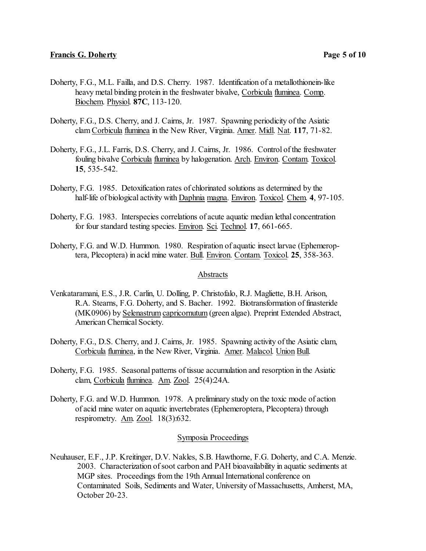- Doherty, F.G., M.L. Failla, and D.S. Cherry. 1987. Identification of a metallothionein-like heavy metal binding protein in the freshwater bivalve, Corbicula fluminea. Comp. Biochem. Physiol. **87C**, 113-120.
- Doherty, F.G., D.S. Cherry, and J. Cairns, Jr. 1987. Spawning periodicity of the Asiatic clam Corbicula fluminea in the New River, Virginia. Amer. Midl. Nat. **117**, 71-82.
- Doherty, F.G., J.L. Farris, D.S. Cherry, and J. Cairns, Jr. 1986. Control of the freshwater fouling bivalve Corbicula fluminea by halogenation. Arch. Environ. Contam. Toxicol. **15**, 535-542.
- Doherty, F.G. 1985. Detoxification rates of chlorinated solutions as determined by the half-life of biological activity with Daphnia magna. Environ. Toxicol. Chem. **4**, 97-105.
- Doherty, F.G. 1983. Interspecies correlations of acute aquatic median lethal concentration for four standard testing species. Environ. Sci. Technol. **17**, 661-665.
- Doherty, F.G. and W.D. Hummon. 1980. Respiration of aquatic insect larvae (Ephemeroptera, Plecoptera) in acid mine water. Bull. Environ. Contam. Toxicol. **25**, 358-363.

#### Abstracts

- Venkataramani, E.S., J.R. Carlin, U. Dolling, P. Christofalo, R.J. Magliette, B.H. Arison, R.A. Stearns, F.G. Doherty, and S. Bacher. 1992. Biotransformation of finasteride (MK0906) by Selenastrum capricornutum (green algae). Preprint Extended Abstract, American Chemical Society.
- Doherty, F.G., D.S. Cherry, and J. Cairns, Jr. 1985. Spawning activity of the Asiatic clam, Corbicula fluminea, in the New River, Virginia. Amer. Malacol. Union Bull.
- Doherty, F.G. 1985. Seasonal patterns of tissue accumulation and resorption in the Asiatic clam, Corbicula fluminea. Am. Zool. 25(4):24A.
- Doherty, F.G. and W.D. Hummon. 1978. A preliminary study on the toxic mode of action of acid mine water on aquatic invertebrates (Ephemeroptera, Plecoptera) through respirometry. Am. Zool. 18(3):632.

#### Symposia Proceedings

Neuhauser, E.F., J.P. Kreitinger, D.V. Nakles, S.B. Hawthorne, F.G. Doherty, and C.A. Menzie. 2003. Characterization of soot carbon and PAH bioavailability in aquatic sediments at MGP sites. Proceedings from the 19th Annual International conference on Contaminated Soils, Sediments and Water, University of Massachusetts, Amherst, MA, October 20-23.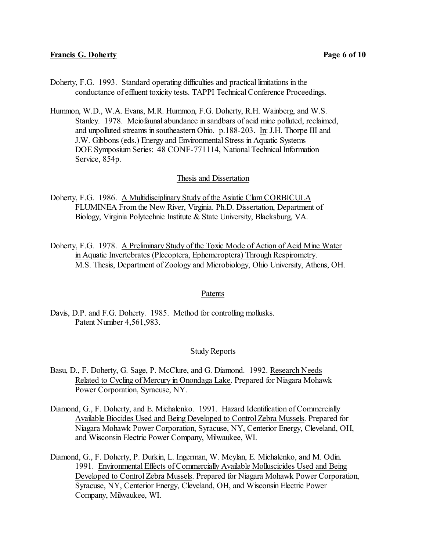- Doherty, F.G. 1993. Standard operating difficulties and practical limitations in the conductance of effluent toxicity tests. TAPPI Technical Conference Proceedings.
- Hummon, W.D., W.A. Evans, M.R. Hummon, F.G. Doherty, R.H. Wainberg, and W.S. Stanley. 1978. Meiofaunal abundance in sandbars of acid mine polluted, reclaimed, and unpolluted streams in southeastern Ohio. p.188-203. In: J.H. Thorpe III and J.W. Gibbons (eds.) Energy and Environmental Stress in Aquatic Systems DOE Symposium Series: 48 CONF-771114, National Technical Information Service, 854p.

### Thesis and Dissertation

- Doherty, F.G. 1986. A Multidisciplinary Study of the Asiatic Clam CORBICULA FLUMINEA From the New River, Virginia. Ph.D. Dissertation, Department of Biology, Virginia Polytechnic Institute & State University, Blacksburg, VA.
- Doherty, F.G. 1978. A Preliminary Study of the Toxic Mode of Action of Acid Mine Water in Aquatic Invertebrates (Plecoptera, Ephemeroptera) Through Respirometry. M.S. Thesis, Department of Zoology and Microbiology, Ohio University, Athens, OH.

#### Patents

Davis, D.P. and F.G. Doherty. 1985. Method for controlling mollusks. Patent Number 4,561,983.

# Study Reports

- Basu, D., F. Doherty, G. Sage, P. McClure, and G. Diamond. 1992. Research Needs Related to Cycling of Mercury in Onondaga Lake. Prepared for Niagara Mohawk Power Corporation, Syracuse, NY.
- Diamond, G., F. Doherty, and E. Michalenko. 1991. Hazard Identification of Commercially Available Biocides Used and Being Developed to ControlZebra Mussels. Prepared for Niagara Mohawk Power Corporation, Syracuse, NY, Centerior Energy, Cleveland, OH, and Wisconsin Electric Power Company, Milwaukee, WI.
- Diamond, G., F. Doherty, P. Durkin, L. Ingerman, W. Meylan, E. Michalenko, and M. Odin. 1991. Environmental Effects of Commercially Available Molluscicides Used and Being Developed to Control Zebra Mussels. Prepared for Niagara Mohawk Power Corporation, Syracuse, NY, Centerior Energy, Cleveland, OH, and Wisconsin Electric Power Company, Milwaukee, WI.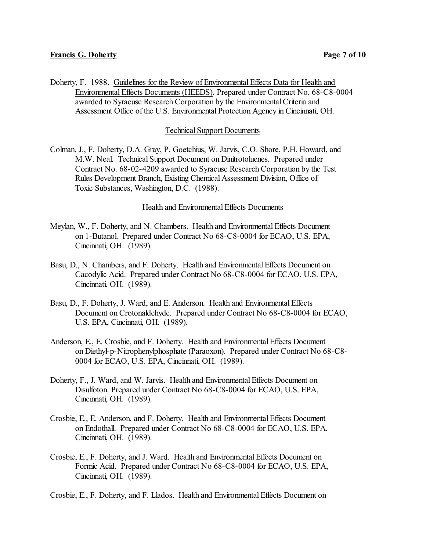Doherty, F. 1988. Guidelines for the Review of Environmental Effects Data for Health and Environmental Effects Documents (HEEDS). Prepared under Contract No. 68-C8-0004 awarded to Syracuse Research Corporation by the Environmental Criteria and Assessment Office of the U.S. Environmental Protection Agency in Cincinnati, OH.

## Technical Support Documents

Colman, J., F. Doherty, D.A. Gray, P. Goetchius, W. Jarvis, C.O. Shore, P.H. Howard, and M.W. Neal. Technical Support Document on Dinitrotoluenes. Prepared under Contract No. 68-02-4209 awarded to Syracuse Research Corporation by the Test Rules Development Branch, Existing Chemical Assessment Division, Office of Toxic Substances, Washington, D.C. (1988).

### Health and Environmental Effects Documents

- Meylan, W., F. Doherty, and N. Chambers. Health and Environmental Effects Document on 1-Butanol. Prepared under Contract No 68-C8-0004 for ECAO, U.S. EPA, Cincinnati, OH. (1989).
- Basu, D., N. Chambers, and F. Doherty. Health and Environmental Effects Document on Cacodylic Acid. Prepared under Contract No 68-C8-0004 for ECAO, U.S. EPA, Cincinnati, OH. (1989).
- Basu, D., F. Doherty, J. Ward, and E. Anderson. Health and Environmental Effects Document on Crotonaldehyde. Prepared under Contract No 68-C8-0004 for ECAO, U.S. EPA, Cincinnati, OH. (1989).
- Anderson, E., E. Crosbie, and F. Doherty. Health and Environmental Effects Document on Diethyl-p-Nitrophenylphosphate (Paraoxon). Prepared under Contract No 68-C8- 0004 for ECAO, U.S. EPA, Cincinnati, OH. (1989).
- Doherty, F., J. Ward, and W. Jarvis. Health and Environmental Effects Document on Disulfoton. Prepared under Contract No 68-C8-0004 for ECAO, U.S. EPA, Cincinnati, OH. (1989).
- Crosbie, E., E. Anderson, and F. Doherty. Health and Environmental Effects Document on Endothall. Prepared under Contract No 68-C8-0004 for ECAO, U.S. EPA, Cincinnati, OH. (1989).
- Crosbie, E., F. Doherty, and J. Ward. Health and Environmental Effects Document on Formic Acid. Prepared under Contract No 68-C8-0004 for ECAO, U.S. EPA, Cincinnati, OH. (1989).
- Crosbie, E., F. Doherty, and F. Llados. Health and Environmental Effects Document on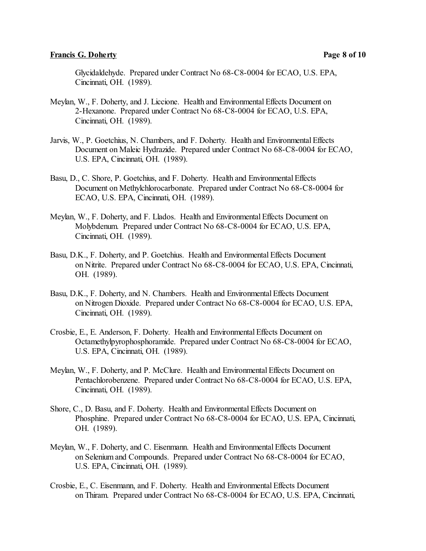## **Francis G. Doherty Page 8 of 10**

Glycidaldehyde. Prepared under Contract No 68-C8-0004 for ECAO, U.S. EPA, Cincinnati, OH. (1989).

- Meylan, W., F. Doherty, and J. Liccione. Health and Environmental Effects Document on 2-Hexanone. Prepared under Contract No 68-C8-0004 for ECAO, U.S. EPA, Cincinnati, OH. (1989).
- Jarvis, W., P. Goetchius, N. Chambers, and F. Doherty. Health and Environmental Effects Document on Maleic Hydrazide. Prepared under Contract No 68-C8-0004 for ECAO, U.S. EPA, Cincinnati, OH. (1989).
- Basu, D., C. Shore, P. Goetchius, and F. Doherty. Health and Environmental Effects Document on Methylchlorocarbonate. Prepared under Contract No 68-C8-0004 for ECAO, U.S. EPA, Cincinnati, OH. (1989).
- Meylan, W., F. Doherty, and F. Llados. Health and Environmental Effects Document on Molybdenum. Prepared under Contract No 68-C8-0004 for ECAO, U.S. EPA, Cincinnati, OH. (1989).
- Basu, D.K., F. Doherty, and P. Goetchius. Health and Environmental Effects Document on Nitrite. Prepared under Contract No 68-C8-0004 for ECAO, U.S. EPA, Cincinnati, OH. (1989).
- Basu, D.K., F. Doherty, and N. Chambers. Health and Environmental Effects Document on Nitrogen Dioxide. Prepared under Contract No 68-C8-0004 for ECAO, U.S. EPA, Cincinnati, OH. (1989).
- Crosbie, E., E. Anderson, F. Doherty. Health and Environmental Effects Document on Octamethylpyrophosphoramide. Prepared under Contract No 68-C8-0004 for ECAO, U.S. EPA, Cincinnati, OH. (1989).
- Meylan, W., F. Doherty, and P. McClure. Health and Environmental Effects Document on Pentachlorobenzene. Prepared under Contract No 68-C8-0004 for ECAO, U.S. EPA, Cincinnati, OH. (1989).
- Shore, C., D. Basu, and F. Doherty. Health and Environmental Effects Document on Phosphine. Prepared under Contract No 68-C8-0004 for ECAO, U.S. EPA, Cincinnati, OH. (1989).
- Meylan, W., F. Doherty, and C. Eisenmann. Health and Environmental Effects Document on Selenium and Compounds. Prepared under Contract No 68-C8-0004 for ECAO, U.S. EPA, Cincinnati, OH. (1989).
- Crosbie, E., C. Eisenmann, and F. Doherty. Health and Environmental Effects Document on Thiram. Prepared under Contract No 68-C8-0004 for ECAO, U.S. EPA, Cincinnati,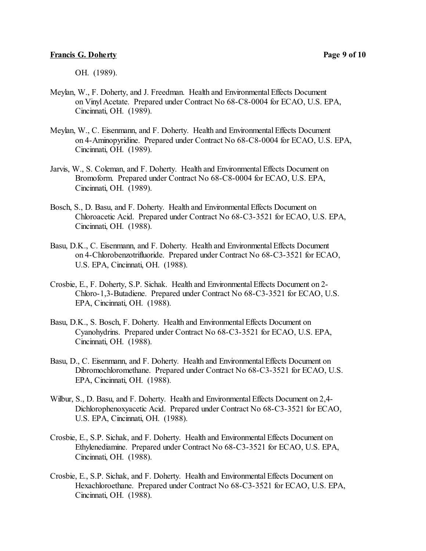OH. (1989).

- Meylan, W., F. Doherty, and J. Freedman. Health and Environmental Effects Document on Vinyl Acetate. Prepared under Contract No 68-C8-0004 for ECAO, U.S. EPA, Cincinnati, OH. (1989).
- Meylan, W., C. Eisenmann, and F. Doherty. Health and Environmental Effects Document on 4-Aminopyridine. Prepared under Contract No 68-C8-0004 for ECAO, U.S. EPA, Cincinnati, OH. (1989).
- Jarvis, W., S. Coleman, and F. Doherty. Health and Environmental Effects Document on Bromoform. Prepared under Contract No 68-C8-0004 for ECAO, U.S. EPA, Cincinnati, OH. (1989).
- Bosch, S., D. Basu, and F. Doherty. Health and Environmental Effects Document on Chloroacetic Acid. Prepared under Contract No 68-C3-3521 for ECAO, U.S. EPA, Cincinnati, OH. (1988).
- Basu, D.K., C. Eisenmann, and F. Doherty. Health and Environmental Effects Document on 4-Chlorobenzotrifluoride. Prepared under Contract No 68-C3-3521 for ECAO, U.S. EPA, Cincinnati, OH. (1988).
- Crosbie, E., F. Doherty, S.P. Sichak. Health and EnvironmentalEffects Document on 2- Chloro-1,3-Butadiene. Prepared under Contract No 68-C3-3521 for ECAO, U.S. EPA, Cincinnati, OH. (1988).
- Basu, D.K., S. Bosch, F. Doherty. Health and EnvironmentalEffects Document on Cyanohydrins. Prepared under Contract No 68-C3-3521 for ECAO, U.S. EPA, Cincinnati, OH. (1988).
- Basu, D., C. Eisenmann, and F. Doherty. Health and Environmental Effects Document on Dibromochloromethane. Prepared under Contract No 68-C3-3521 for ECAO, U.S. EPA, Cincinnati, OH. (1988).
- Wilbur, S., D. Basu, and F. Doherty. Health and Environmental Effects Document on 2,4- Dichlorophenoxyacetic Acid. Prepared under Contract No 68-C3-3521 for ECAO, U.S. EPA, Cincinnati, OH. (1988).
- Crosbie, E., S.P. Sichak, and F. Doherty. Health and Environmental Effects Document on Ethylenediamine. Prepared under Contract No 68-C3-3521 for ECAO, U.S. EPA, Cincinnati, OH. (1988).
- Crosbie, E., S.P. Sichak, and F. Doherty. Health and Environmental Effects Document on Hexachloroethane. Prepared under Contract No 68-C3-3521 for ECAO, U.S. EPA, Cincinnati, OH. (1988).